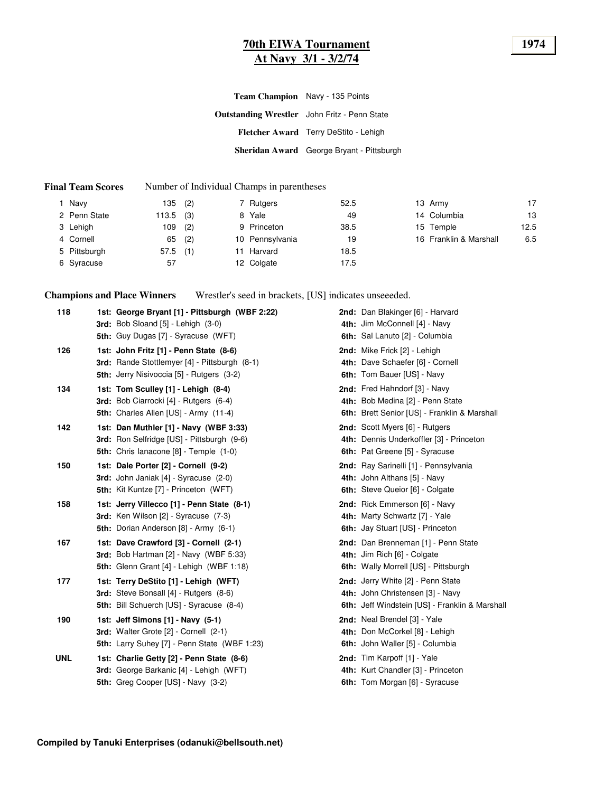### **70th EIWA Tournament 1974 At Navy 3/1 - 3/2/74**

| Team Champion Navy - 135 Points                     |                                           |
|-----------------------------------------------------|-------------------------------------------|
| <b>Outstanding Wrestler</b> John Fritz - Penn State |                                           |
|                                                     | Fletcher Award Terry DeStito - Lehigh     |
|                                                     | Sheridan Award George Bryant - Pittsburgh |

#### **Final Team Scores** Number of Individual Champs in parentheses

| Navv         | 135         | (2) | 7 Rutgers       | 52.5 | 13 Army                | 17   |
|--------------|-------------|-----|-----------------|------|------------------------|------|
| 2 Penn State | $113.5$ (3) |     | 8 Yale          | 49   | 14 Columbia            | 13   |
| 3 Lehigh     | 109         | (2) | 9 Princeton     | 38.5 | 15 Temple              | 12.5 |
| 4 Cornell    | 65          | (2) | 10 Pennsylvania | 19   | 16 Franklin & Marshall | 6.5  |
| 5 Pittsburgh | 57.5        | (1) | Harvard         | 18.5 |                        |      |
| 6 Syracuse   | 57          |     | 12 Colgate      | 17.5 |                        |      |

**Champions and Place Winners** Wrestler's seed in brackets, [US] indicates unseeeded.

| 118        | 1st: George Bryant [1] - Pittsburgh (WBF 2:22)<br><b>3rd:</b> Bob Sloand $[5]$ - Lehigh $(3-0)$                                                                                    | 2nd: Dan Blakinger [6] - Harvard<br>4th: Jim McConnell [4] - Navy                                                                       |
|------------|------------------------------------------------------------------------------------------------------------------------------------------------------------------------------------|-----------------------------------------------------------------------------------------------------------------------------------------|
| 126        | 5th: Guy Dugas [7] - Syracuse (WFT)<br>1st: John Fritz [1] - Penn State (8-6)<br>3rd: Rande Stottlemyer [4] - Pittsburgh (8-1)<br><b>5th:</b> Jerry Nisivoccia [5] - Rutgers (3-2) | 6th: Sal Lanuto [2] - Columbia<br><b>2nd:</b> Mike Frick [2] - Lehigh<br>4th: Dave Schaefer [6] - Cornell<br>6th: Tom Bauer [US] - Navy |
| 134        | 1st: Tom Sculley [1] - Lehigh (8-4)<br>3rd: Bob Ciarrocki [4] - Rutgers (6-4)<br>5th: Charles Allen [US] - Army (11-4)                                                             | 2nd: Fred Hahndorf [3] - Navy<br>4th: Bob Medina [2] - Penn State<br>6th: Brett Senior [US] - Franklin & Marshall                       |
| 142        | 1st: Dan Muthler [1] - Navy (WBF 3:33)<br>3rd: Ron Selfridge [US] - Pittsburgh (9-6)<br><b>5th:</b> Chris lanacone [8] - Temple (1-0)                                              | 2nd: Scott Myers [6] - Rutgers<br>4th: Dennis Underkoffler [3] - Princeton<br>6th: Pat Greene [5] - Syracuse                            |
| 150        | 1st: Dale Porter [2] - Cornell (9-2)<br>3rd: John Janiak [4] - Syracuse (2-0)<br><b>5th:</b> Kit Kuntze [7] - Princeton (WFT)                                                      | 2nd: Ray Sarinelli [1] - Pennsylvania<br>4th: John Althans [5] - Navy<br>6th: Steve Queior [6] - Colgate                                |
| 158        | 1st: Jerry Villecco [1] - Penn State (8-1)<br>3rd: Ken Wilson [2] - Syracuse (7-3)<br>5th: Dorian Anderson [8] - Army (6-1)                                                        | 2nd: Rick Emmerson [6] - Navy<br>4th: Marty Schwartz [7] - Yale<br>6th: Jay Stuart [US] - Princeton                                     |
| 167        | 1st: Dave Crawford [3] - Cornell (2-1)<br>3rd: Bob Hartman $[2]$ - Navy (WBF 5:33)<br>5th: Glenn Grant [4] - Lehigh (WBF 1:18)                                                     | 2nd: Dan Brenneman [1] - Penn State<br>4th: Jim Rich [6] - Colgate<br>6th: Wally Morrell [US] - Pittsburgh                              |
| 177        | 1st: Terry DeStito [1] - Lehigh (WFT)<br>3rd: Steve Bonsall [4] - Rutgers (8-6)<br>5th: Bill Schuerch [US] - Syracuse (8-4)                                                        | 2nd: Jerry White [2] - Penn State<br>4th: John Christensen [3] - Navy<br>6th: Jeff Windstein [US] - Franklin & Marshall                 |
| 190        | 1st: Jeff Simons [1] - Navy (5-1)<br>3rd: Walter Grote [2] - Cornell (2-1)<br>5th: Larry Suhey [7] - Penn State (WBF 1:23)                                                         | 2nd: Neal Brendel [3] - Yale<br>4th: Don McCorkel [8] - Lehigh<br>6th: John Waller [5] - Columbia                                       |
| <b>UNL</b> | 1st: Charlie Getty [2] - Penn State (8-6)<br>3rd: George Barkanic [4] - Lehigh (WFT)<br>5th: Greg Cooper [US] - Navy (3-2)                                                         | 2nd: Tim Karpoff [1] - Yale<br>4th: Kurt Chandler [3] - Princeton<br>6th: Tom Morgan [6] - Syracuse                                     |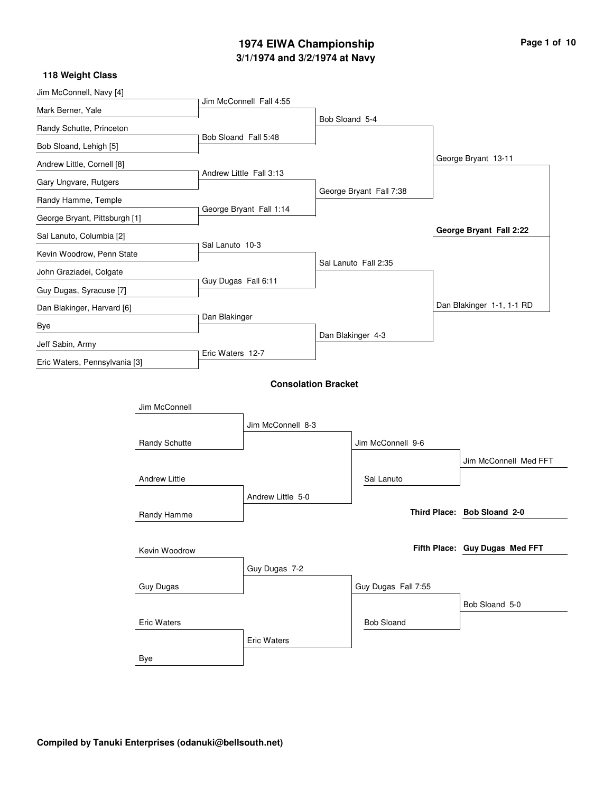## **3/1/1974 and 3/2/1974 at Navy 1974 EIWA Championship Page 1 of 10**

| Jim McConnell, Navy [4]       |                      |                      |                            |                |                         |                                |
|-------------------------------|----------------------|----------------------|----------------------------|----------------|-------------------------|--------------------------------|
| Mark Berner, Yale             |                      |                      | Jim McConnell Fall 4:55    |                |                         |                                |
| Randy Schutte, Princeton      |                      |                      |                            | Bob Sloand 5-4 |                         |                                |
| Bob Sloand, Lehigh [5]        |                      | Bob Sloand Fall 5:48 |                            |                |                         |                                |
| Andrew Little, Cornell [8]    |                      |                      |                            |                |                         | George Bryant 13-11            |
| Gary Ungvare, Rutgers         |                      |                      | Andrew Little Fall 3:13    |                |                         |                                |
| Randy Hamme, Temple           |                      |                      |                            |                | George Bryant Fall 7:38 |                                |
| George Bryant, Pittsburgh [1] |                      |                      | George Bryant Fall 1:14    |                |                         |                                |
| Sal Lanuto, Columbia [2]      |                      |                      |                            |                |                         | George Bryant Fall 2:22        |
| Kevin Woodrow, Penn State     |                      | Sal Lanuto 10-3      |                            |                |                         |                                |
| John Graziadei, Colgate       |                      |                      |                            |                | Sal Lanuto Fall 2:35    |                                |
| Guy Dugas, Syracuse [7]       |                      | Guy Dugas Fall 6:11  |                            |                |                         |                                |
| Dan Blakinger, Harvard [6]    |                      |                      |                            |                |                         | Dan Blakinger 1-1, 1-1 RD      |
| Bye                           |                      | Dan Blakinger        |                            |                |                         |                                |
| Jeff Sabin, Army              |                      |                      |                            |                | Dan Blakinger 4-3       |                                |
| Eric Waters, Pennsylvania [3] |                      | Eric Waters 12-7     |                            |                |                         |                                |
|                               |                      |                      | <b>Consolation Bracket</b> |                |                         |                                |
|                               |                      |                      |                            |                |                         |                                |
|                               | Jim McConnell        |                      |                            |                |                         |                                |
|                               |                      |                      | Jim McConnell 8-3          |                |                         |                                |
|                               | Randy Schutte        |                      |                            |                | Jim McConnell 9-6       |                                |
|                               |                      |                      |                            |                |                         | Jim McConnell Med FFT          |
|                               | <b>Andrew Little</b> |                      |                            |                | Sal Lanuto              |                                |
|                               |                      |                      | Andrew Little 5-0          |                |                         |                                |
|                               | Randy Hamme          |                      |                            |                |                         | Third Place: Bob Sloand 2-0    |
|                               |                      |                      |                            |                |                         |                                |
|                               | Kevin Woodrow        |                      |                            |                |                         | Fifth Place: Guy Dugas Med FFT |
|                               |                      |                      | Guy Dugas 7-2              |                |                         |                                |
|                               | Guy Dugas            |                      |                            |                | Guy Dugas Fall 7:55     |                                |
|                               |                      |                      |                            |                |                         | Bob Sloand 5-0                 |
|                               | <b>Eric Waters</b>   |                      |                            |                | <b>Bob Sloand</b>       |                                |
|                               |                      |                      | <b>Eric Waters</b>         |                |                         |                                |
|                               | Bye                  |                      |                            |                |                         |                                |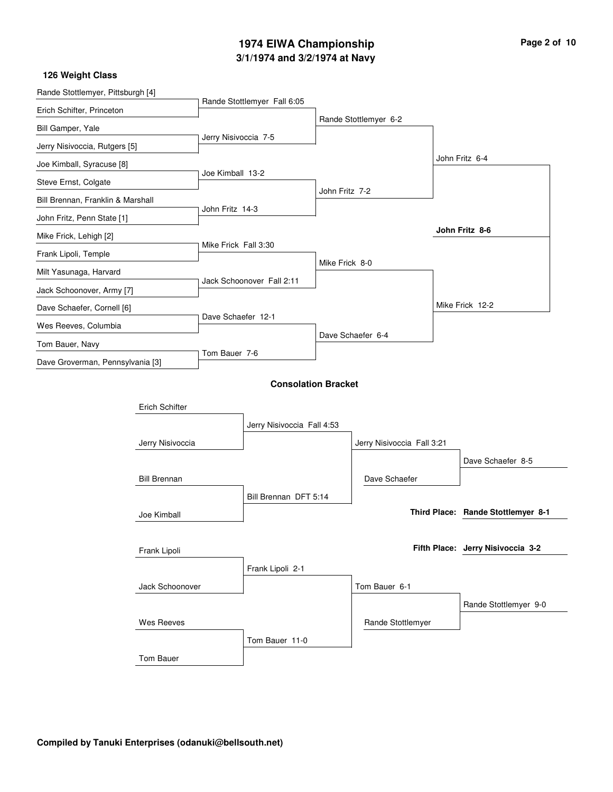### **3/1/1974 and 3/2/1974 at Navy 1974 EIWA Championship Page 2 of 10**

| Rande Stottlemyer, Pittsburgh [4] |                     |                      |                             |                |                            |  |                                    |
|-----------------------------------|---------------------|----------------------|-----------------------------|----------------|----------------------------|--|------------------------------------|
| Erich Schifter, Princeton         |                     |                      | Rande Stottlemyer Fall 6:05 |                |                            |  |                                    |
| Bill Gamper, Yale                 |                     |                      |                             |                | Rande Stottlemyer 6-2      |  |                                    |
| Jerry Nisivoccia, Rutgers [5]     |                     | Jerry Nisivoccia 7-5 |                             |                |                            |  |                                    |
| Joe Kimball, Syracuse [8]         |                     |                      |                             |                |                            |  | John Fritz 6-4                     |
| Steve Ernst, Colgate              |                     | Joe Kimball 13-2     |                             |                |                            |  |                                    |
| Bill Brennan, Franklin & Marshall |                     |                      |                             | John Fritz 7-2 |                            |  |                                    |
| John Fritz, Penn State [1]        |                     | John Fritz 14-3      |                             |                |                            |  |                                    |
| Mike Frick, Lehigh [2]            |                     |                      |                             |                |                            |  | John Fritz 8-6                     |
| Frank Lipoli, Temple              |                     | Mike Frick Fall 3:30 |                             |                |                            |  |                                    |
| Milt Yasunaga, Harvard            |                     |                      |                             | Mike Frick 8-0 |                            |  |                                    |
| Jack Schoonover, Army [7]         |                     |                      | Jack Schoonover Fall 2:11   |                |                            |  |                                    |
| Dave Schaefer, Cornell [6]        |                     |                      |                             |                |                            |  | Mike Frick 12-2                    |
| Wes Reeves, Columbia              |                     | Dave Schaefer 12-1   |                             |                |                            |  |                                    |
| Tom Bauer, Navy                   |                     |                      |                             |                | Dave Schaefer 6-4          |  |                                    |
| Dave Groverman, Pennsylvania [3]  |                     | Tom Bauer 7-6        |                             |                |                            |  |                                    |
|                                   |                     |                      |                             |                |                            |  |                                    |
|                                   |                     |                      | <b>Consolation Bracket</b>  |                |                            |  |                                    |
|                                   | Erich Schifter      |                      |                             |                |                            |  |                                    |
|                                   |                     |                      | Jerry Nisivoccia Fall 4:53  |                |                            |  |                                    |
|                                   | Jerry Nisivoccia    |                      |                             |                | Jerry Nisivoccia Fall 3:21 |  |                                    |
|                                   |                     |                      |                             |                |                            |  | Dave Schaefer 8-5                  |
|                                   | <b>Bill Brennan</b> |                      |                             |                | Dave Schaefer              |  |                                    |
|                                   |                     |                      | Bill Brennan DFT 5:14       |                |                            |  |                                    |
|                                   | Joe Kimball         |                      |                             |                |                            |  | Third Place: Rande Stottlemyer 8-1 |
|                                   |                     |                      |                             |                |                            |  |                                    |
|                                   | Frank Lipoli        |                      |                             |                |                            |  | Fifth Place: Jerry Nisivoccia 3-2  |
|                                   |                     |                      | Frank Lipoli 2-1            |                |                            |  |                                    |
|                                   | Jack Schoonover     |                      |                             |                | Tom Bauer 6-1              |  |                                    |
|                                   |                     |                      |                             |                |                            |  | Rande Stottlemyer 9-0              |
|                                   | <b>Wes Reeves</b>   |                      |                             |                | Rande Stottlemyer          |  |                                    |
|                                   |                     |                      | Tom Bauer 11-0              |                |                            |  |                                    |
|                                   | Tom Bauer           |                      |                             |                |                            |  |                                    |
|                                   |                     |                      |                             |                |                            |  |                                    |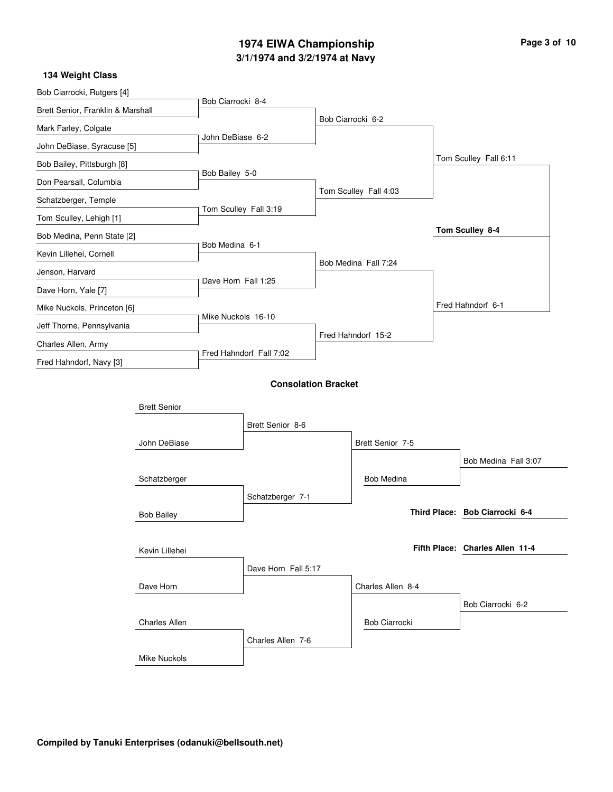## **3/1/1974 and 3/2/1974 at Navy 1974 EIWA Championship Page 3 of 10**

| 134 Weight Class                  |                      |                     |                            |  |                       |  |                                 |  |
|-----------------------------------|----------------------|---------------------|----------------------------|--|-----------------------|--|---------------------------------|--|
| Bob Ciarrocki, Rutgers [4]        |                      | Bob Ciarrocki 8-4   |                            |  |                       |  |                                 |  |
| Brett Senior, Franklin & Marshall |                      |                     |                            |  |                       |  |                                 |  |
| Mark Farley, Colgate              |                      |                     |                            |  | Bob Ciarrocki 6-2     |  |                                 |  |
| John DeBiase, Syracuse [5]        |                      | John DeBiase 6-2    |                            |  |                       |  |                                 |  |
| Bob Bailey, Pittsburgh [8]        |                      |                     |                            |  |                       |  | Tom Sculley Fall 6:11           |  |
| Don Pearsall, Columbia            |                      | Bob Bailey 5-0      |                            |  |                       |  |                                 |  |
| Schatzberger, Temple              |                      |                     |                            |  | Tom Sculley Fall 4:03 |  |                                 |  |
| Tom Sculley, Lehigh [1]           |                      |                     | Tom Sculley Fall 3:19      |  |                       |  |                                 |  |
| Bob Medina, Penn State [2]        |                      |                     |                            |  |                       |  | Tom Sculley 8-4                 |  |
| Kevin Lillehei, Cornell           |                      | Bob Medina 6-1      |                            |  |                       |  |                                 |  |
| Jenson, Harvard                   |                      |                     |                            |  | Bob Medina Fall 7:24  |  |                                 |  |
| Dave Horn, Yale [7]               |                      | Dave Horn Fall 1:25 |                            |  |                       |  |                                 |  |
| Mike Nuckols, Princeton [6]       |                      |                     |                            |  |                       |  | Fred Hahndorf 6-1               |  |
| Jeff Thorne, Pennsylvania         |                      | Mike Nuckols 16-10  |                            |  |                       |  |                                 |  |
| Charles Allen, Army               |                      |                     |                            |  | Fred Hahndorf 15-2    |  |                                 |  |
| Fred Hahndorf, Navy [3]           |                      |                     | Fred Hahndorf Fall 7:02    |  |                       |  |                                 |  |
|                                   |                      |                     | <b>Consolation Bracket</b> |  |                       |  |                                 |  |
|                                   |                      |                     |                            |  |                       |  |                                 |  |
|                                   | <b>Brett Senior</b>  |                     |                            |  |                       |  |                                 |  |
|                                   |                      |                     | Brett Senior 8-6           |  |                       |  |                                 |  |
|                                   | John DeBiase         |                     |                            |  | Brett Senior 7-5      |  |                                 |  |
|                                   |                      |                     |                            |  |                       |  | Bob Medina Fall 3:07            |  |
|                                   | Schatzberger         |                     |                            |  | <b>Bob Medina</b>     |  |                                 |  |
|                                   |                      |                     | Schatzberger 7-1           |  |                       |  |                                 |  |
|                                   | <b>Bob Bailey</b>    |                     |                            |  |                       |  | Third Place: Bob Ciarrocki 6-4  |  |
|                                   |                      |                     |                            |  |                       |  |                                 |  |
|                                   | Kevin Lillehei       |                     |                            |  |                       |  | Fifth Place: Charles Allen 11-4 |  |
|                                   |                      |                     | Dave Horn Fall 5:17        |  |                       |  |                                 |  |
|                                   | Dave Horn            |                     |                            |  | Charles Allen 8-4     |  |                                 |  |
|                                   |                      |                     |                            |  |                       |  | Bob Ciarrocki 6-2               |  |
|                                   | <b>Charles Allen</b> |                     |                            |  | <b>Bob Ciarrocki</b>  |  |                                 |  |
|                                   |                      |                     | Charles Allen 7-6          |  |                       |  |                                 |  |
|                                   | <b>Mike Nuckols</b>  |                     |                            |  |                       |  |                                 |  |
|                                   |                      |                     |                            |  |                       |  |                                 |  |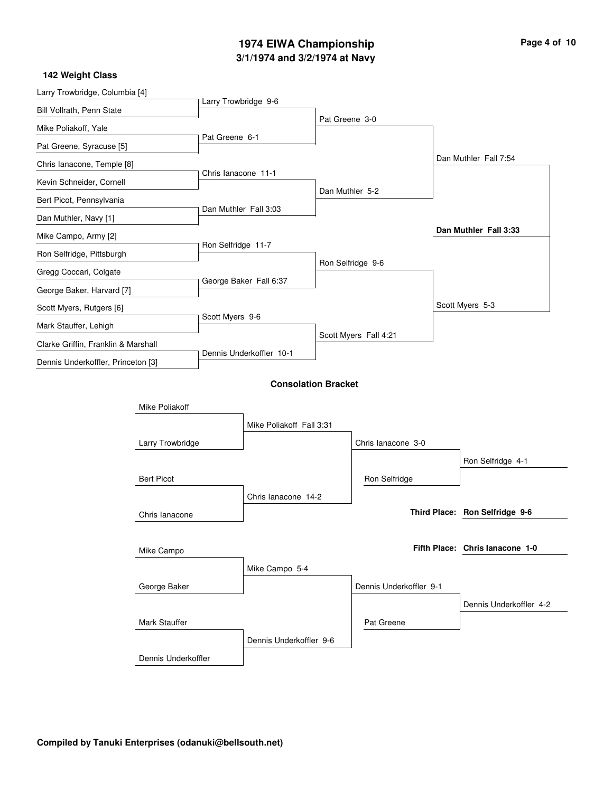## **3/1/1974 and 3/2/1974 at Navy 1974 EIWA Championship Page 4 of 10**

| Larry Trowbridge, Columbia [4]      |                     |                          |                            |                 |                         |                                 |
|-------------------------------------|---------------------|--------------------------|----------------------------|-----------------|-------------------------|---------------------------------|
| Bill Vollrath, Penn State           |                     | Larry Trowbridge 9-6     |                            |                 |                         |                                 |
| Mike Poliakoff, Yale                |                     |                          |                            | Pat Greene 3-0  |                         |                                 |
| Pat Greene, Syracuse [5]            |                     | Pat Greene 6-1           |                            |                 |                         |                                 |
| Chris lanacone, Temple [8]          |                     |                          |                            |                 |                         | Dan Muthler Fall 7:54           |
| Kevin Schneider, Cornell            |                     | Chris lanacone 11-1      |                            |                 |                         |                                 |
| Bert Picot, Pennsylvania            |                     |                          |                            | Dan Muthler 5-2 |                         |                                 |
| Dan Muthler, Navy [1]               |                     | Dan Muthler Fall 3:03    |                            |                 |                         |                                 |
| Mike Campo, Army [2]                |                     |                          |                            |                 |                         | Dan Muthler Fall 3:33           |
| Ron Selfridge, Pittsburgh           |                     | Ron Selfridge 11-7       |                            |                 |                         |                                 |
| Gregg Coccari, Colgate              |                     |                          |                            |                 | Ron Selfridge 9-6       |                                 |
| George Baker, Harvard [7]           |                     |                          | George Baker Fall 6:37     |                 |                         |                                 |
| Scott Myers, Rutgers [6]            |                     |                          |                            |                 |                         | Scott Myers 5-3                 |
| Mark Stauffer, Lehigh               |                     | Scott Myers 9-6          |                            |                 |                         |                                 |
| Clarke Griffin, Franklin & Marshall |                     | Dennis Underkoffler 10-1 |                            |                 | Scott Myers Fall 4:21   |                                 |
| Dennis Underkoffler, Princeton [3]  |                     |                          |                            |                 |                         |                                 |
|                                     |                     |                          | <b>Consolation Bracket</b> |                 |                         |                                 |
|                                     | Mike Poliakoff      |                          |                            |                 |                         |                                 |
|                                     |                     |                          | Mike Poliakoff Fall 3:31   |                 |                         |                                 |
|                                     | Larry Trowbridge    |                          |                            |                 | Chris lanacone 3-0      |                                 |
|                                     |                     |                          |                            |                 |                         | Ron Selfridge 4-1               |
|                                     | <b>Bert Picot</b>   |                          |                            |                 | Ron Selfridge           |                                 |
|                                     |                     |                          | Chris lanacone 14-2        |                 |                         |                                 |
|                                     | Chris lanacone      |                          |                            |                 |                         | Third Place: Ron Selfridge 9-6  |
|                                     |                     |                          |                            |                 |                         |                                 |
|                                     | Mike Campo          |                          |                            |                 |                         | Fifth Place: Chris lanacone 1-0 |
|                                     |                     |                          | Mike Campo 5-4             |                 |                         |                                 |
|                                     | George Baker        |                          |                            |                 | Dennis Underkoffler 9-1 |                                 |
|                                     |                     |                          |                            |                 |                         | Dennis Underkoffler 4-2         |
|                                     | Mark Stauffer       |                          |                            |                 | Pat Greene              |                                 |
|                                     |                     |                          | Dennis Underkoffler 9-6    |                 |                         |                                 |
|                                     | Dennis Underkoffler |                          |                            |                 |                         |                                 |
|                                     |                     |                          |                            |                 |                         |                                 |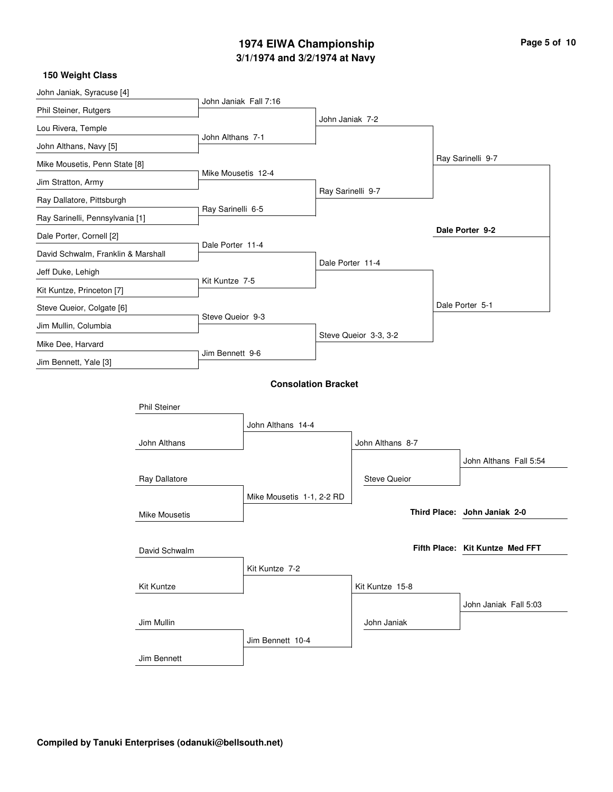# **3/1/1974 and 3/2/1974 at Navy 1974 EIWA Championship Page 5 of 10**

| John Janiak, Syracuse [4]          |                      |                       |                            |                   |                       |                                 |  |
|------------------------------------|----------------------|-----------------------|----------------------------|-------------------|-----------------------|---------------------------------|--|
| Phil Steiner, Rutgers              |                      | John Janiak Fall 7:16 |                            |                   |                       |                                 |  |
| Lou Rivera, Temple                 |                      |                       |                            | John Janiak 7-2   |                       |                                 |  |
| John Althans, Navy [5]             |                      | John Althans 7-1      |                            |                   |                       |                                 |  |
| Mike Mousetis, Penn State [8]      |                      |                       |                            |                   |                       | Ray Sarinelli 9-7               |  |
| Jim Stratton, Army                 |                      | Mike Mousetis 12-4    |                            |                   |                       |                                 |  |
| Ray Dallatore, Pittsburgh          |                      |                       |                            | Ray Sarinelli 9-7 |                       |                                 |  |
| Ray Sarinelli, Pennsylvania [1]    |                      | Ray Sarinelli 6-5     |                            |                   |                       |                                 |  |
| Dale Porter, Cornell [2]           |                      |                       |                            |                   |                       | Dale Porter 9-2                 |  |
| David Schwalm, Franklin & Marshall |                      | Dale Porter 11-4      |                            |                   |                       |                                 |  |
| Jeff Duke, Lehigh                  |                      |                       |                            | Dale Porter 11-4  |                       |                                 |  |
| Kit Kuntze, Princeton [7]          |                      | Kit Kuntze 7-5        |                            |                   |                       |                                 |  |
| Steve Queior, Colgate [6]          |                      |                       |                            |                   |                       | Dale Porter 5-1                 |  |
| Jim Mullin, Columbia               |                      | Steve Queior 9-3      |                            |                   |                       |                                 |  |
| Mike Dee, Harvard                  |                      |                       |                            |                   | Steve Queior 3-3, 3-2 |                                 |  |
| Jim Bennett, Yale [3]              |                      | Jim Bennett 9-6       |                            |                   |                       |                                 |  |
|                                    |                      |                       | <b>Consolation Bracket</b> |                   |                       |                                 |  |
|                                    |                      |                       |                            |                   |                       |                                 |  |
|                                    | <b>Phil Steiner</b>  |                       |                            |                   |                       |                                 |  |
|                                    |                      |                       | John Althans 14-4          |                   |                       |                                 |  |
|                                    | John Althans         |                       |                            |                   | John Althans 8-7      |                                 |  |
|                                    |                      |                       |                            |                   |                       | John Althans Fall 5:54          |  |
|                                    | Ray Dallatore        |                       |                            |                   | <b>Steve Queior</b>   |                                 |  |
|                                    |                      |                       | Mike Mousetis 1-1, 2-2 RD  |                   |                       |                                 |  |
|                                    | <b>Mike Mousetis</b> |                       |                            |                   |                       | Third Place: John Janiak 2-0    |  |
|                                    |                      |                       |                            |                   |                       |                                 |  |
|                                    | David Schwalm        |                       |                            |                   |                       | Fifth Place: Kit Kuntze Med FFT |  |
|                                    |                      |                       | Kit Kuntze 7-2             |                   |                       |                                 |  |
|                                    | Kit Kuntze           |                       |                            |                   | Kit Kuntze 15-8       |                                 |  |
|                                    |                      |                       |                            |                   |                       | John Janiak Fall 5:03           |  |
|                                    | Jim Mullin           |                       |                            |                   | John Janiak           |                                 |  |
|                                    |                      |                       | Jim Bennett 10-4           |                   |                       |                                 |  |
|                                    | Jim Bennett          |                       |                            |                   |                       |                                 |  |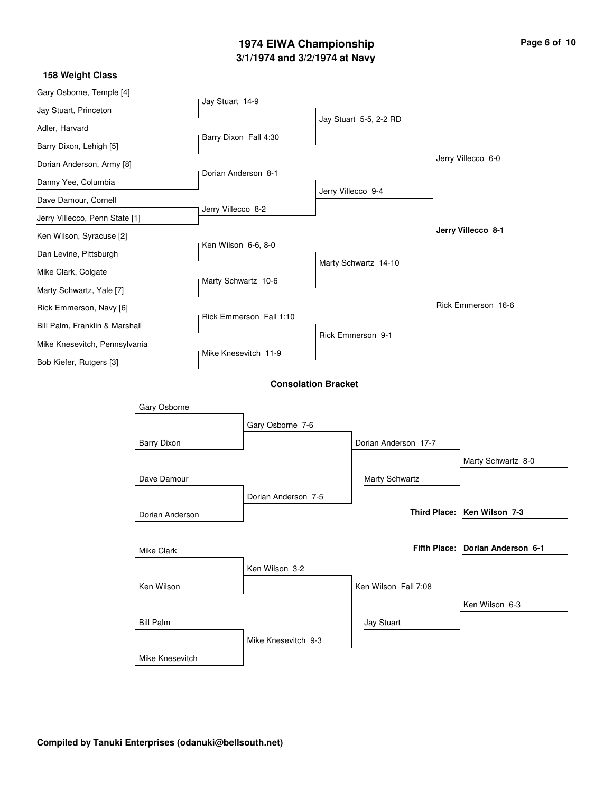## **3/1/1974 and 3/2/1974 at Navy 1974 EIWA Championship Page 6 of 10**

| Gary Osborne, Temple [4]       |                    |                            |                     |                   |                        |  |                                  |
|--------------------------------|--------------------|----------------------------|---------------------|-------------------|------------------------|--|----------------------------------|
| Jay Stuart, Princeton          |                    | Jay Stuart 14-9            |                     |                   |                        |  |                                  |
| Adler, Harvard                 |                    |                            |                     |                   | Jay Stuart 5-5, 2-2 RD |  |                                  |
| Barry Dixon, Lehigh [5]        |                    | Barry Dixon Fall 4:30      |                     |                   |                        |  |                                  |
| Dorian Anderson, Army [8]      |                    |                            |                     |                   |                        |  | Jerry Villecco 6-0               |
| Danny Yee, Columbia            |                    | Dorian Anderson 8-1        |                     |                   |                        |  |                                  |
| Dave Damour, Cornell           |                    |                            |                     |                   | Jerry Villecco 9-4     |  |                                  |
| Jerry Villecco, Penn State [1] |                    | Jerry Villecco 8-2         |                     |                   |                        |  |                                  |
| Ken Wilson, Syracuse [2]       |                    |                            |                     |                   |                        |  | Jerry Villecco 8-1               |
| Dan Levine, Pittsburgh         |                    | Ken Wilson 6-6, 8-0        |                     |                   |                        |  |                                  |
| Mike Clark, Colgate            |                    |                            |                     |                   | Marty Schwartz 14-10   |  |                                  |
| Marty Schwartz, Yale [7]       |                    | Marty Schwartz 10-6        |                     |                   |                        |  |                                  |
| Rick Emmerson, Navy [6]        |                    |                            |                     |                   |                        |  | Rick Emmerson 16-6               |
| Bill Palm, Franklin & Marshall |                    | Rick Emmerson Fall 1:10    |                     |                   |                        |  |                                  |
| Mike Knesevitch, Pennsylvania  |                    |                            |                     | Rick Emmerson 9-1 |                        |  |                                  |
| Bob Kiefer, Rutgers [3]        |                    | Mike Knesevitch 11-9       |                     |                   |                        |  |                                  |
|                                |                    | <b>Consolation Bracket</b> |                     |                   |                        |  |                                  |
|                                |                    |                            |                     |                   |                        |  |                                  |
|                                | Gary Osborne       |                            |                     |                   |                        |  |                                  |
|                                |                    |                            | Gary Osborne 7-6    |                   |                        |  |                                  |
|                                | <b>Barry Dixon</b> |                            |                     |                   | Dorian Anderson 17-7   |  |                                  |
|                                |                    |                            |                     |                   |                        |  | Marty Schwartz 8-0               |
|                                | Dave Damour        |                            |                     |                   | Marty Schwartz         |  |                                  |
|                                |                    |                            | Dorian Anderson 7-5 |                   |                        |  |                                  |
|                                | Dorian Anderson    |                            |                     |                   |                        |  | Third Place: Ken Wilson 7-3      |
|                                |                    |                            |                     |                   |                        |  |                                  |
|                                | Mike Clark         |                            |                     |                   |                        |  | Fifth Place: Dorian Anderson 6-1 |
|                                |                    |                            | Ken Wilson 3-2      |                   |                        |  |                                  |
| Ken Wilson                     |                    |                            |                     |                   | Ken Wilson Fall 7:08   |  |                                  |
|                                |                    |                            |                     |                   |                        |  | Ken Wilson 6-3                   |
|                                | <b>Bill Palm</b>   |                            |                     |                   | Jay Stuart             |  |                                  |
|                                |                    |                            | Mike Knesevitch 9-3 |                   |                        |  |                                  |
|                                | Mike Knesevitch    |                            |                     |                   |                        |  |                                  |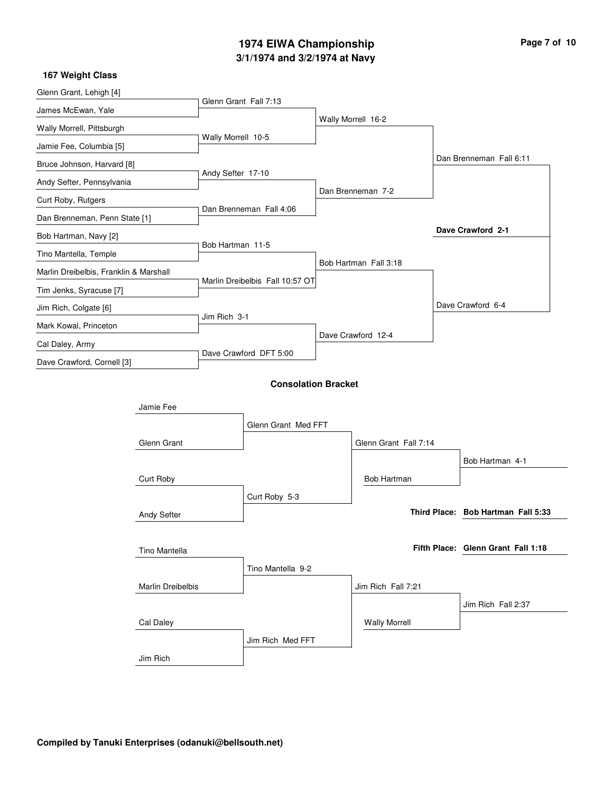# **3/1/1974 and 3/2/1974 at Navy 1974 EIWA Championship Page 7 of 10**

| 167 Weight Class                       |                   |                       |                                 |  |                       |  |                                    |
|----------------------------------------|-------------------|-----------------------|---------------------------------|--|-----------------------|--|------------------------------------|
| Glenn Grant, Lehigh [4]                |                   | Glenn Grant Fall 7:13 |                                 |  |                       |  |                                    |
| James McEwan, Yale                     |                   |                       |                                 |  |                       |  |                                    |
| Wally Morrell, Pittsburgh              |                   |                       |                                 |  | Wally Morrell 16-2    |  |                                    |
| Jamie Fee, Columbia [5]                |                   | Wally Morrell 10-5    |                                 |  |                       |  |                                    |
| Bruce Johnson, Harvard [8]             |                   |                       |                                 |  |                       |  | Dan Brenneman Fall 6:11            |
| Andy Sefter, Pennsylvania              |                   | Andy Sefter 17-10     |                                 |  |                       |  |                                    |
| Curt Roby, Rutgers                     |                   |                       |                                 |  | Dan Brenneman 7-2     |  |                                    |
| Dan Brenneman, Penn State [1]          |                   |                       | Dan Brenneman Fall 4:06         |  |                       |  |                                    |
| Bob Hartman, Navy [2]                  |                   |                       |                                 |  |                       |  | Dave Crawford 2-1                  |
| Tino Mantella, Temple                  |                   | Bob Hartman 11-5      |                                 |  |                       |  |                                    |
| Marlin Dreibelbis, Franklin & Marshall |                   |                       |                                 |  | Bob Hartman Fall 3:18 |  |                                    |
| Tim Jenks, Syracuse [7]                |                   |                       | Marlin Dreibelbis Fall 10:57 OT |  |                       |  |                                    |
| Jim Rich, Colgate [6]                  |                   |                       |                                 |  |                       |  | Dave Crawford 6-4                  |
| Mark Kowal, Princeton                  |                   | Jim Rich 3-1          |                                 |  |                       |  |                                    |
| Cal Daley, Army                        |                   |                       |                                 |  | Dave Crawford 12-4    |  |                                    |
| Dave Crawford, Cornell [3]             |                   |                       | Dave Crawford DFT 5:00          |  |                       |  |                                    |
|                                        |                   |                       | <b>Consolation Bracket</b>      |  |                       |  |                                    |
| Jamie Fee                              |                   |                       |                                 |  |                       |  |                                    |
|                                        |                   |                       | Glenn Grant Med FFT             |  |                       |  |                                    |
|                                        | Glenn Grant       |                       |                                 |  | Glenn Grant Fall 7:14 |  |                                    |
|                                        |                   |                       |                                 |  |                       |  | Bob Hartman 4-1                    |
|                                        | Curt Roby         |                       |                                 |  | Bob Hartman           |  |                                    |
|                                        |                   |                       | Curt Roby 5-3                   |  |                       |  |                                    |
|                                        | Andy Sefter       |                       |                                 |  |                       |  | Third Place: Bob Hartman Fall 5:33 |
|                                        |                   |                       |                                 |  |                       |  |                                    |
|                                        | Tino Mantella     |                       |                                 |  |                       |  | Fifth Place: Glenn Grant Fall 1:18 |
|                                        |                   |                       | Tino Mantella 9-2               |  |                       |  |                                    |
|                                        | Marlin Dreibelbis |                       |                                 |  | Jim Rich Fall 7:21    |  |                                    |
|                                        |                   |                       |                                 |  |                       |  | Jim Rich Fall 2:37                 |
|                                        | Cal Daley         |                       |                                 |  | <b>Wally Morrell</b>  |  |                                    |
|                                        |                   |                       | Jim Rich Med FFT                |  |                       |  |                                    |
|                                        | Jim Rich          |                       |                                 |  |                       |  |                                    |
|                                        |                   |                       |                                 |  |                       |  |                                    |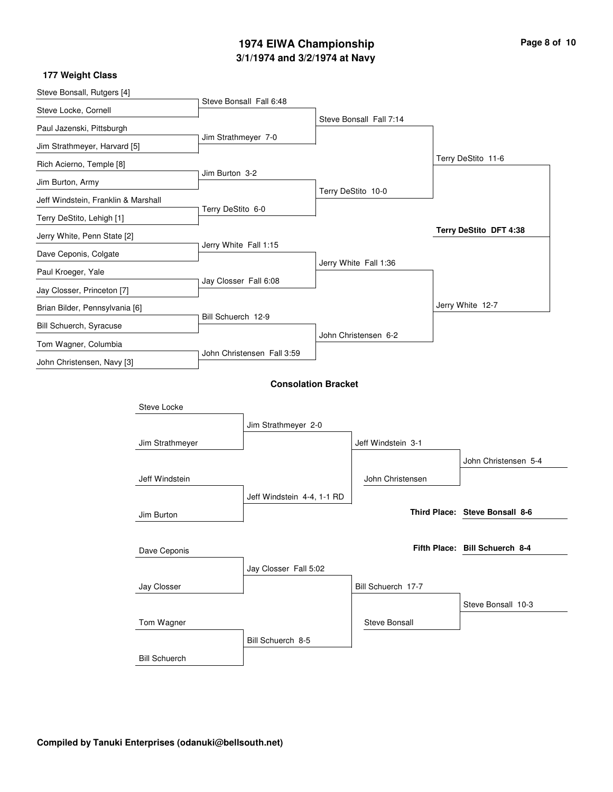### **3/1/1974 and 3/2/1974 at Navy 1974 EIWA Championship Page 8 of 10**

#### Steve Bonsall, Rutgers [4] Steve Locke, Cornell Paul Jazenski, Pittsburgh Jim Strathmeyer, Harvard [5] Rich Acierno, Temple [8] Jim Burton, Army Jeff Windstein, Franklin & Marshall Terry DeStito, Lehigh [1] Jerry White, Penn State [2] Dave Ceponis, Colgate Paul Kroeger, Yale Jay Closser, Princeton [7] Brian Bilder, Pennsylvania [6] Bill Schuerch, Syracuse Tom Wagner, Columbia John Christensen, Navy [3] Steve Bonsall Fall 6:48 Jim Strathmeyer 7-0 Jim Burton 3-2 Terry DeStito 6-0 Jerry White Fall 1:15 Jay Closser Fall 6:08 Bill Schuerch 12-9 John Christensen Fall 3:59 Steve Bonsall Fall 7:14 Terry DeStito 10-0 Jerry White Fall 1:36 John Christensen 6-2 Terry DeStito 11-6 Jerry White 12-7 **Terry DeStito DFT 4:38 177 Weight Class Consolation Bracket** Jim Strathmeyer Jim Burton Jay Closser Bill Schuerch Steve Locke Jeff Windstein Dave Ceponis Tom Wagner Jim Strathmeyer 2-0 Jeff Windstein 4-4, 1-1 RD Jay Closser Fall 5:02 Bill Schuerch 8-5 Jeff Windstein 3-1 Bill Schuerch 17-7 John Christensen Steve Bonsall John Christensen 5-4 Steve Bonsall 10-3 **Steve Bonsall 8-6 Third Place: Bill Schuerch 8-4 Fifth Place:**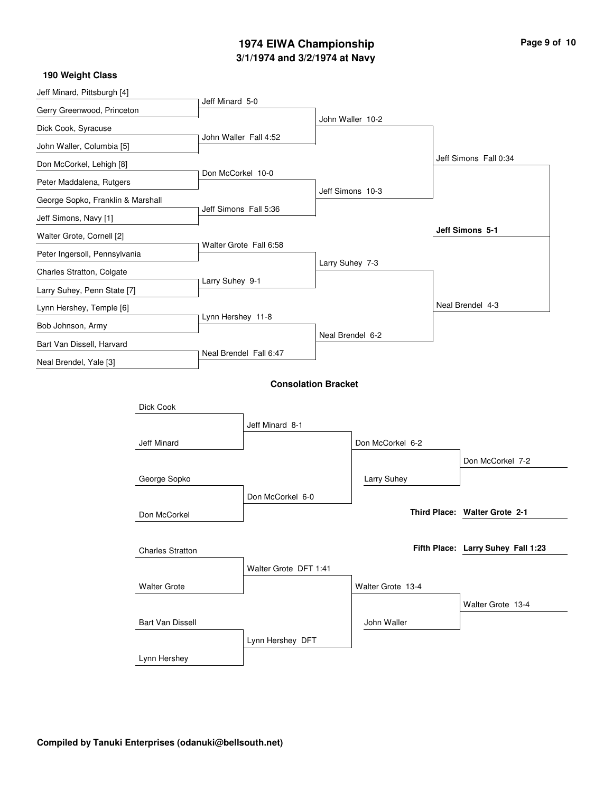### **3/1/1974 and 3/2/1974 at Navy 1974 EIWA Championship Page 9 of 10**

#### Jeff Minard, Pittsburgh [4] Gerry Greenwood, Princeton Dick Cook, Syracuse John Waller, Columbia [5] Don McCorkel, Lehigh [8] Peter Maddalena, Rutgers George Sopko, Franklin & Marshall Jeff Simons, Navy [1] Walter Grote, Cornell [2] Peter Ingersoll, Pennsylvania Charles Stratton, Colgate Larry Suhey, Penn State [7] Lynn Hershey, Temple [6] Bob Johnson, Army Bart Van Dissell, Harvard Neal Brendel, Yale [3] Jeff Minard 5-0 John Waller Fall 4:52 Don McCorkel 10-0 Jeff Simons Fall 5:36 Walter Grote Fall 6:58 Larry Suhey 9-1 Lynn Hershey 11-8 Neal Brendel Fall 6:47 John Waller 10-2 Jeff Simons 10-3 Larry Suhey 7-3 Neal Brendel 6-2 Jeff Simons Fall 0:34 Neal Brendel 4-3 **Jeff Simons 5-1 190 Weight Class Consolation Bracket** Jeff Minard Don McCorkel Walter Grote Lynn Hershey Dick Cook George Sopko Charles Stratton Bart Van Dissell Jeff Minard 8-1 Don McCorkel 6-0 Walter Grote DFT 1:41 Lynn Hershey DFT Don McCorkel 6-2 Walter Grote 13-4 Larry Suhey John Waller Don McCorkel 7-2 Walter Grote 13-4 **Walter Grote 2-1 Third Place: Larry Suhey Fall 1:23 Fifth Place:**